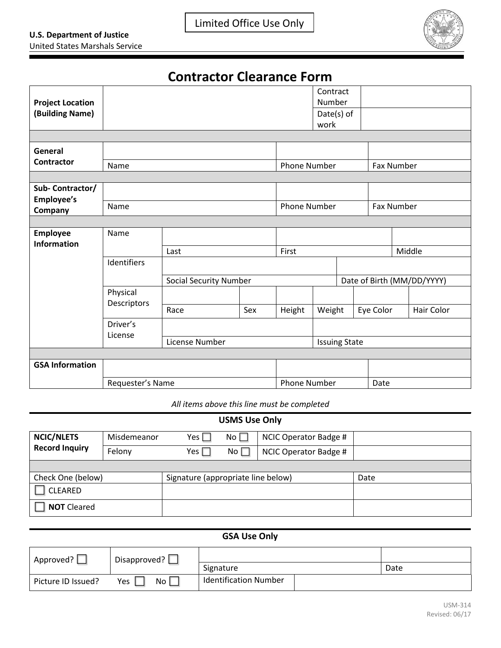

## **Contractor Clearance Form**

| <b>Project Location</b> |                         |                               |                     |                     | Contract<br>Number   |                            |            |  |            |  |
|-------------------------|-------------------------|-------------------------------|---------------------|---------------------|----------------------|----------------------------|------------|--|------------|--|
|                         |                         |                               |                     |                     |                      |                            |            |  |            |  |
| (Building Name)         |                         |                               |                     |                     | Date(s) of           |                            |            |  |            |  |
|                         |                         |                               |                     |                     | work                 |                            |            |  |            |  |
|                         |                         |                               |                     |                     |                      |                            |            |  |            |  |
| General                 |                         |                               |                     |                     |                      |                            |            |  |            |  |
| <b>Contractor</b>       | Name                    |                               | <b>Phone Number</b> |                     |                      | Fax Number                 |            |  |            |  |
|                         |                         |                               |                     |                     |                      |                            |            |  |            |  |
| Sub-Contractor/         |                         |                               |                     |                     |                      |                            |            |  |            |  |
| Employee's              |                         |                               |                     |                     |                      |                            |            |  |            |  |
| Company                 | Name                    |                               |                     | <b>Phone Number</b> |                      |                            | Fax Number |  |            |  |
|                         |                         |                               |                     |                     |                      |                            |            |  |            |  |
| <b>Employee</b>         | Name                    |                               |                     |                     |                      |                            |            |  |            |  |
| <b>Information</b>      |                         |                               |                     |                     |                      |                            |            |  |            |  |
|                         |                         | Last                          | First               |                     |                      | Middle                     |            |  |            |  |
|                         | Identifiers             |                               |                     |                     |                      |                            |            |  |            |  |
|                         |                         | <b>Social Security Number</b> |                     |                     |                      | Date of Birth (MM/DD/YYYY) |            |  |            |  |
|                         | Physical<br>Descriptors |                               |                     |                     |                      |                            |            |  |            |  |
|                         |                         | Race                          | Sex                 | Height              | Weight               |                            | Eye Color  |  | Hair Color |  |
|                         | Driver's<br>License     |                               |                     |                     |                      |                            |            |  |            |  |
|                         |                         | License Number                |                     |                     | <b>Issuing State</b> |                            |            |  |            |  |
|                         |                         |                               |                     |                     |                      |                            |            |  |            |  |
| <b>GSA Information</b>  |                         |                               |                     |                     |                      |                            |            |  |            |  |
|                         | Requester's Name        |                               | <b>Phone Number</b> |                     |                      | Date                       |            |  |            |  |

*All items above this line must be completed*

| <b>USMS Use Only</b>                       |             |                                    |           |                       |      |  |  |
|--------------------------------------------|-------------|------------------------------------|-----------|-----------------------|------|--|--|
| <b>NCIC/NLETS</b><br><b>Record Inquiry</b> | Misdemeanor | Yes $\Box$                         | No $\Box$ | NCIC Operator Badge # |      |  |  |
|                                            | Felony      | Yes $\Gamma$                       | No $\Box$ | NCIC Operator Badge # |      |  |  |
|                                            |             |                                    |           |                       |      |  |  |
| Check One (below)                          |             | Signature (appropriate line below) |           |                       | Date |  |  |
| CLEARED                                    |             |                                    |           |                       |      |  |  |
| <b>NOT Cleared</b>                         |             |                                    |           |                       |      |  |  |

## **GSA Use Only**

| Approved?          | Disapproved?           |                              |      |  |  |
|--------------------|------------------------|------------------------------|------|--|--|
|                    |                        | Signature                    | Date |  |  |
| Picture ID Issued? | No <sub>1</sub><br>Yes | <b>Identification Number</b> |      |  |  |